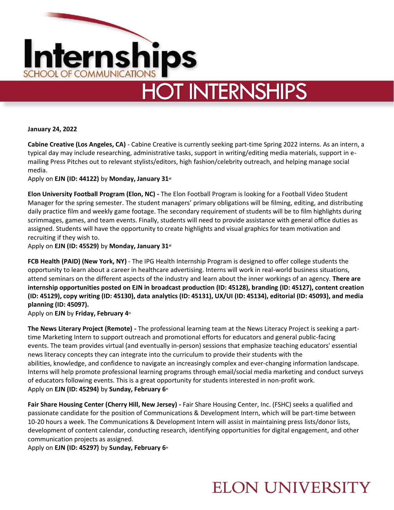

# **HOT INTERNSHIPS**

**January 24, 2022**

**Cabine Creative (Los Angeles, CA)** - Cabine Creative is currently seeking part-time Spring 2022 interns. As an intern, a typical day may include researching, administrative tasks, support in writing/editing media materials, support in emailing Press Pitches out to relevant stylists/editors, high fashion/celebrity outreach, and helping manage social media.

Apply on **EJN (ID: 44122)** by **Monday, January 31st**

**Elon University Football Program (Elon, NC) -** The Elon Football Program is looking for a Football Video Student Manager for the spring semester. The student managers' primary obligations will be filming, editing, and distributing daily practice film and weekly game footage. The secondary requirement of students will be to film highlights during scrimmages, games, and team events. Finally, students will need to provide assistance with general office duties as assigned. Students will have the opportunity to create highlights and visual graphics for team motivation and recruiting if they wish to.

Apply on **EJN (ID: 45529)** by **Monday, January 31st**

**FCB Health (PAID) (New York, NY)** - The IPG Health Internship Program is designed to offer college students the opportunity to learn about a career in healthcare advertising. Interns will work in real-world business situations, attend seminars on the different aspects of the industry and learn about the inner workings of an agency. **There are internship opportunities posted on EJN in broadcast production (ID: 45128), branding (ID: 45127), content creation (ID: 45129), copy writing (ID: 45130), data analytics (ID: 45131), UX/UI (ID: 45134), editorial (ID: 45093), and media planning (ID: 45097).**

Apply on **EJN** by **Friday, February 4th**

**The News Literary Project (Remote) -** The professional learning team at the News Literacy Project is seeking a parttime Marketing Intern to support outreach and promotional efforts for educators and general public-facing events. The team provides virtual (and eventually in-person) sessions that emphasize teaching educators' essential news literacy concepts they can integrate into the curriculum to provide their students with the abilities, knowledge, and confidence to navigate an increasingly complex and ever-changing information landscape. Interns will help promote professional learning programs through email/social media marketing and conduct surveys of educators following events. This is a great opportunity for students interested in non-profit work. Apply on **EJN (ID: 45294)** by **Sunday, February 6th**

**Fair Share Housing Center (Cherry Hill, New Jersey) -** Fair Share Housing Center, Inc. (FSHC) seeks a qualified and passionate candidate for the position of Communications & Development Intern, which will be part-time between 10-20 hours a week. The Communications & Development Intern will assist in maintaining press lists/donor lists, development of content calendar, conducting research, identifying opportunities for digital engagement, and other communication projects as assigned.

Apply on **EJN (ID: 45297)** by **Sunday, February 6th**

### **ELON UNIVERSITY**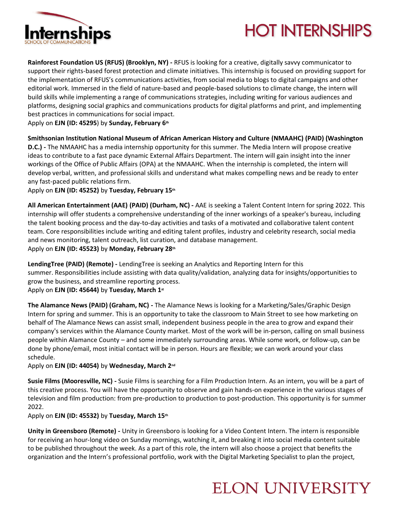

## **HOT INTERNSHIPS**

**Rainforest Foundation US (RFUS) (Brooklyn, NY) -** RFUS is looking for a creative, digitally savvy communicator to support their rights-based forest protection and climate initiatives. This internship is focused on providing support for the implementation of RFUS's communications activities, from social media to blogs to digital campaigns and other editorial work. Immersed in the field of nature-based and people-based solutions to climate change, the intern will build skills while implementing a range of communications strategies, including writing for various audiences and platforms, designing social graphics and communications products for digital platforms and print, and implementing best practices in communications for social impact.

Apply on **EJN (ID: 45295**) by **Sunday, February 6th**

**Smithsonian Institution National Museum of African American History and Culture (NMAAHC) (PAID) (Washington** 

**D.C.) -** The NMAAHC has a media internship opportunity for this summer. The Media Intern will propose creative ideas to contribute to a fast pace dynamic External Affairs Department. The intern will gain insight into the inner workings of the Office of Public Affairs (OPA) at the NMAAHC. When the internship is completed, the intern will develop verbal, written, and professional skills and understand what makes compelling news and be ready to enter any fast-paced public relations firm.

Apply on **EJN (ID: 45252)** by **Tuesday, February 15th**

**All American Entertainment (AAE) (PAID) (Durham, NC) -** AAE is seeking a Talent Content Intern for spring 2022. This internship will offer students a comprehensive understanding of the inner workings of a speaker's bureau, including the talent booking process and the day-to-day activities and tasks of a motivated and collaborative talent content team. Core responsibilities include writing and editing talent profiles, industry and celebrity research, social media and news monitoring, talent outreach, list curation, and database management. Apply on **EJN (ID: 45523)** by **Monday, February 28th**

**LendingTree (PAID) (Remote) -** LendingTree is seeking an Analytics and Reporting Intern for this summer. Responsibilities include assisting with data quality/validation, analyzing data for insights/opportunities to grow the business, and streamline reporting process.

Apply on **EJN (ID: 45644)** by **Tuesday, March 1st**

**The Alamance News (PAID) (Graham, NC) -** The Alamance News is looking for a Marketing/Sales/Graphic Design Intern for spring and summer. This is an opportunity to take the classroom to Main Street to see how marketing on behalf of The Alamance News can assist small, independent business people in the area to grow and expand their company's services within the Alamance County market. Most of the work will be in-person, calling on small business people within Alamance County – and some immediately surrounding areas. While some work, or follow-up, can be done by phone/email, most initial contact will be in person. Hours are flexible; we can work around your class schedule.

Apply on **EJN (ID: 44054)** by **Wednesday, March 2nd**

**Susie Films (Mooresville, NC) -** Susie Films is searching for a Film Production Intern. As an intern, you will be a part of this creative process. You will have the opportunity to observe and gain hands-on experience in the various stages of television and film production: from pre-production to production to post-production. This opportunity is for summer 2022.

Apply on **EJN (ID: 45532)** by **Tuesday, March 15th**

**Unity in Greensboro (Remote) -** Unity in Greensboro is looking for a Video Content Intern. The intern is responsible for receiving an hour-long video on Sunday mornings, watching it, and breaking it into social media content suitable to be published throughout the week. As a part of this role, the intern will also choose a project that benefits the organization and the Intern's professional portfolio, work with the Digital Marketing Specialist to plan the project,

### **ELON UNIVERSITY**